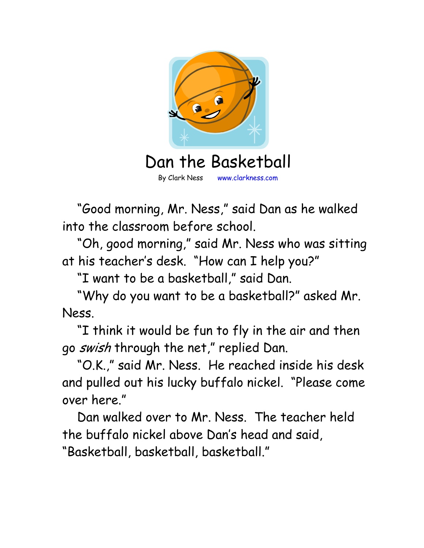

By Clark Ness www.clarkness.com

 "Good morning, Mr. Ness," said Dan as he walked into the classroom before school.

 "Oh, good morning," said Mr. Ness who was sitting at his teacher's desk. "How can I help you?"

"I want to be a basketball," said Dan.

 "Why do you want to be a basketball?" asked Mr. Ness.

 "I think it would be fun to fly in the air and then go swish through the net," replied Dan.

 "O.K.," said Mr. Ness. He reached inside his desk and pulled out his lucky buffalo nickel. "Please come over here."

 Dan walked over to Mr. Ness. The teacher held the buffalo nickel above Dan's head and said, "Basketball, basketball, basketball."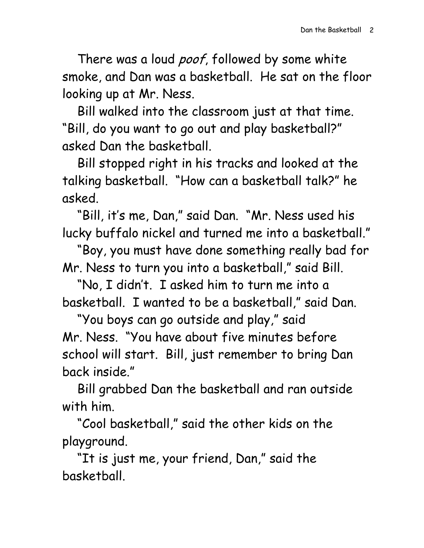There was a loud *poof*, followed by some white smoke, and Dan was a basketball. He sat on the floor looking up at Mr. Ness.

 Bill walked into the classroom just at that time. "Bill, do you want to go out and play basketball?" asked Dan the basketball.

 Bill stopped right in his tracks and looked at the talking basketball. "How can a basketball talk?" he asked.

 "Bill, it's me, Dan," said Dan. "Mr. Ness used his lucky buffalo nickel and turned me into a basketball."

 "Boy, you must have done something really bad for Mr. Ness to turn you into a basketball," said Bill.

 "No, I didn't. I asked him to turn me into a basketball. I wanted to be a basketball," said Dan.

 "You boys can go outside and play," said Mr. Ness. "You have about five minutes before school will start. Bill, just remember to bring Dan back inside."

 Bill grabbed Dan the basketball and ran outside with him.

 "Cool basketball," said the other kids on the playground.

 "It is just me, your friend, Dan," said the basketball.